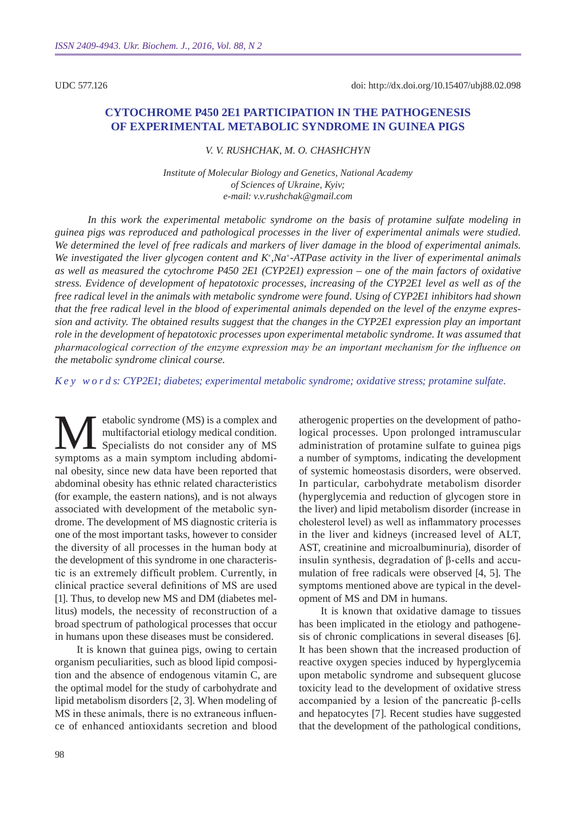UDC 577.126

# **Cytochrome P450 2E1 participation in the pathogenesis of experimental metabolic syndrome in guinea pigs**

*V. V. Rus hchak, M. O. Chashchyn*

*Institute of Molecular Biology and Genetics, National Academy of Sciences of Ukraine, Kyiv; e-mail: v.v.rushchak@gmail.com*

*In this work the experimental metabolic syndrome on the basis of protamine sulfate modeling in guinea pigs was reproduced and pathological processes in the liver of experimental animals were studied. We determined the level of free radicals and markers of liver damage in the blood of experimental animals. We investigated the liver glycogen content and K+,Na+-ATPase activity in the liver of experimental animals as well as measured the cytochrome P450 2E1 (CY P2E1) expression – one of the main factors of oxidative stress. Evidence of development of hepatotoxic processes, increasing of the CY P2E1 level as well as of the free radical level in the animals with metabolic syndrome were found. Using of CYP2E1 inhibitors had shown that the free radical level in the blood of experimental animals depended on the level of the enzyme expression and activity. The obtained results suggest that the changes in the CYP2E1 expression play an important role in the development of hepatotoxic processes upon experimental metabolic syndrome. It was assumed that pharmacological correction of the enzyme expression may be an important mechanism for the influence on the metabolic syndrome clinical course.* 

*K e y w o r d s: CYP2E1; diabetes; experimental metabolic syndrome; oxidative stress; protamine sulfate.*

Example Syndrome (MS) is a complex and<br>multifactorial etiology medical condition.<br>Specialists do not consider any of MS<br>symptoms as a main symptom including abdomimultifactorial etiology medical condition. Specialists do not consider any of MS symptoms as a main symptom including abdominal obesity, since new data have been reported that abdominal obesity has ethnic related characteristics (for example, the eastern nations), and is not always associated with development of the metabolic syndrome. The development of MS diagnostic criteria is one of the most important tasks, however to consider the diversity of all processes in the human body at the development of this syndrome in one characteristic is an extremely difficult problem. Currently, in clinical practice several definitions of MS are used [1]. Thus, to develop new MS and DM (diabetes mellitus) models, the necessity of reconstruction of a broad spectrum of pathological processes that occur in humans upon these diseases must be considered.

It is known that guinea pigs, owing to certain organism peculiarities, such as blood lipid composition and the absence of endogenous vitamin C, are the optimal model for the study of carbohydrate and lipid metabolism disorders [2, 3]. When modeling of MS in these animals, there is no extraneous influence of enhanced antioxidants secretion and blood

atherogenic properties on the development of pathological processes. Upon prolonged intramuscular administration of protamine sulfate to guinea pigs a number of symptoms, indicating the development of systemic homeostasis disorders, were observed. In particular, carbohydrate metabolism disorder (hyperglycemia and reduction of glycogen store in the liver) and lipid metabolism disorder (increase in cholesterol level) as well as inflammatory processes in the liver and kidneys (increased level of ALT, AST, creatinine and microalbuminuria), disorder of insulin synthesis, degradation of β-cells and accumulation of free radicals were observed [4, 5]. The symptoms mentioned above are typical in the development of MS and DM in humans.

It is known that oxidative damage to tissues has been implicated in the etiology and pathogenesis of chronic complications in several diseases [6]. It has been shown that the increased production of reactive oxygen species induced by hyperglycemia upon metabolic syndrome and subsequent glucose toxicity lead to the development of oxidative stress accompanied by a lesion of the pancreatic β-cells and hepatocytes [7]. Recent studies have suggested that the development of the pathological conditions,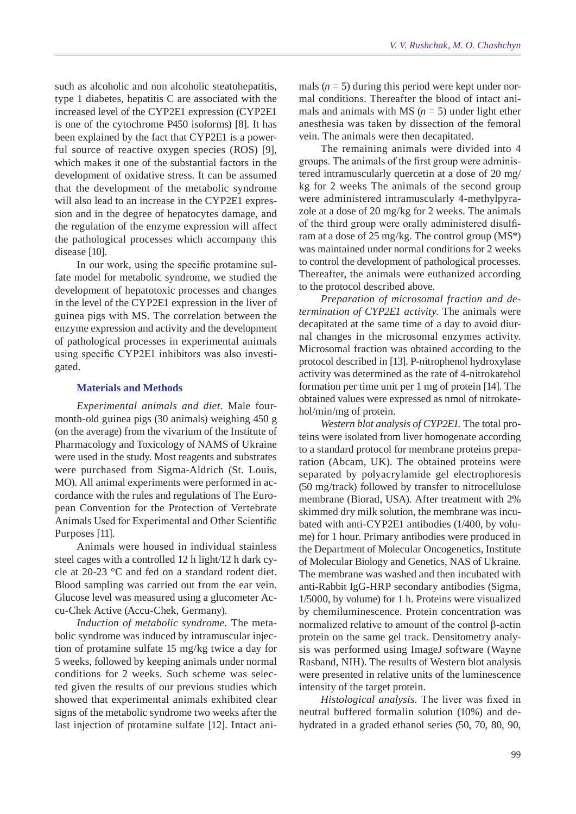such as alcoholic and non alcoholic steatohepatitis, type 1 diabetes, hepatitis C are associated with the increased level of the CYP2E1 expression (CYP2E1 is one of the cytochrome P450 isoforms) [8]. It has been explained by the fact that CYP2E1 is a powerful source of reactive oxygen species (ROS) [9], which makes it one of the substantial factors in the development of oxidative stress. It can be assumed that the development of the metabolic syndrome will also lead to an increase in the CYP2E1 expression and in the degree of hepatocytes damage, and the regulation of the enzyme expression will affect the pathological processes which accompany this disease [10].

In our work, using the specific protamine sulfate model for metabolic syndrome, we studied the development of hepatotoxic processes and changes in the level of the CYP2E1 expression in the liver of guinea pigs with MS. The correlation between the enzyme expression and activity and the development of pathological processes in experimental animals using specific CYP2E1 inhibitors was also investigated.

## **Materials and Methods**

*Experimental animals and diet.* Male fourmonth-old guinea pigs (30 animals) weighing 450 g (on the average) from the vivarium of the Institute of Pharmacology and Toxicology of NAMS of Ukraine were used in the study. Most reagents and substrates were purchased from Sigma-Aldrich (St. Louis, MO). All animal experiments were performed in accordance with the rules and regulations of The European Convention for the Protection of Vertebrate Animals Used for Experimental and Other Scientific Purposes [11].

Animals were housed in individual stainless steel cages with a controlled 12 h light/12 h dark cycle at 20-23 °C and fed on a standard rodent diet. Blood sampling was carried out from the ear vein. Glucose level was measured using a glucometer Accu-Chek Active (Accu-Chek, Germany).

*Induction of metabolic syndrome.* The metabolic syndrome was induced by intramuscular injection of protamine sulfate 15 mg/kg twice a day for 5 weeks, followed by keeping animals under normal conditions for 2 weeks. Such scheme was selected given the results of our previous studies which showed that experimental animals exhibited clear signs of the metabolic syndrome two weeks after the last injection of protamine sulfate [12]. Intact animals  $(n = 5)$  during this period were kept under normal conditions. Thereafter the blood of intact animals and animals with MS  $(n = 5)$  under light ether anesthesia was taken by dissection of the femoral vein. The animals were then decapitated.

The remaining animals were divided into 4 groups. The animals of the first group were administered intramuscularly quercetin at a dose of 20 mg/ kg for 2 weeks The animals of the second group were administered intramuscularly 4-methylpyrazole at a dose of 20 mg/kg for 2 weeks. The animals of the third group were orally administered disulfiram at a dose of 25 mg/kg. The control group (MS\*) was maintained under normal conditions for 2 weeks to control the development of pathological processes. Thereafter, the animals were euthanized according to the protocol described above.

*Preparation of microsomal fraction and determination of CYP2E1 activity.* The animals were decapitated at the same time of a day to avoid diurnal changes in the microsomal enzymes activity. Microsomal fraction was obtained according to the protocol described in [13]. P-nitrophenol hydroxylase activity was determined as the rate of 4-nitrokatehol formation per time unit per 1 mg of protein [14]. The obtained values were expressed as nmol of nitrokatehol/min/mg of protein.

*Western blot analysis of CYP2E1.* The total proteins were isolated from liver homogenate according to a standard protocol for membrane proteins preparation (Abcam, UK). The obtained proteins were separated by polyacrylamide gel electrophoresis (50 mg/track) followed by transfer to nitrocellulose membrane (Biorad, USA). After treatment with 2% skimmed dry milk solution, the membrane was incubated with anti-CYP2E1 antibodies (1/400, by volume) for 1 hour. Primary antibodies were produced in the Department of Molecular Oncogenetics, Institute of Molecular Biology and Genetics, NAS of Ukraine. The membrane was washed and then incubated with anti-Rabbit IgG-HRP secondary antibodies (Sigma, 1/5000, by volume) for 1 h. Proteins were visualized by chemiluminescence. Protein concentration was normalized relative to amount of the control β-actin protein on the same gel track. Densitometry analysis was performed using ImageJ software (Wayne Rasband, NIH). The results of Western blot analysis were presented in relative units of the luminescence intensity of the target protein.

*Histological analysis.* The liver was fixed in neutral buffered formalin solution (10%) and dehydrated in a graded ethanol series (50, 70, 80, 90,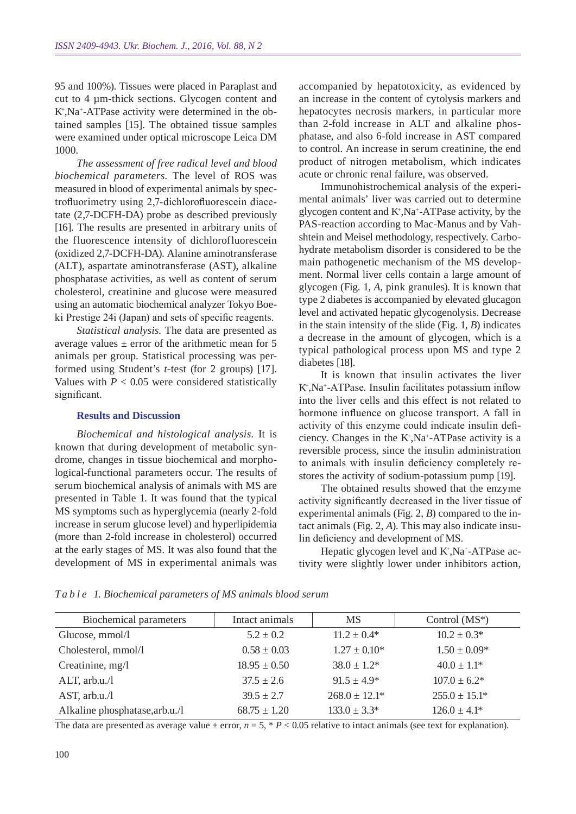95 and 100%). Tissues were placed in Paraplast and cut to 4 µm-thick sections. Glycogen content and K+ ,Na+-ATPase activity were determined in the obtained samples [15]. The obtained tissue samples were examined under optical microscope Leica DM 1000.

*The assessment of free radical level and blood biochemical parameters.* The level of ROS was measured in blood of experimental animals by spectrofluorimetry using 2,7-dichlorofluorescein diacetate (2,7-DCFH-DA) probe as described previously [16]. The results are presented in arbitrary units of the fluorescence intensity of dichlorofluorescein (oxidized 2,7-DCFH-DA). Alanine aminotransferase (ALT), aspartate aminotransferase (AST), alkaline phosphatase activities, as well as content of serum cholesterol, creatinine and glucose were measured using an automatic biochemical analyzer Tokyo Boeki Prestige 24i (Japan) and sets of specific reagents.

*Statistical analysis.* The data are presented as average values  $\pm$  error of the arithmetic mean for 5 animals per group. Statistical processing was performed using Student's *t*-test (for 2 groups) [17]. Values with  $P < 0.05$  were considered statistically significant.

#### **Results and Discussion**

*Biochemical and histological analysis.* It is known that during development of metabolic syndrome, changes in tissue biochemical and morphological-functional parameters occur. The results of serum biochemical analysis of animals with MS are presented in Table 1. It was found that the typical MS symptoms such as hyperglycemia (nearly 2-fold increase in serum glucose level) and hyperlipidemia (more than 2-fold increase in cholesterol) occurred at the early stages of MS. It was also found that the development of MS in experimental animals was

accompanied by hepatotoxicity, as evidenced by an increase in the content of cytolysis markers and hepatocytes necrosis markers, in particular more than 2-fold increase in ALT and alkaline phosphatase, and also 6-fold increase in AST compared to control. An increase in serum creatinine, the end product of nitrogen metabolism, which indicates acute or chronic renal failure, was observed.

Immunohistrochemical analysis of the experimental animals' liver was carried out to determine glycogen content and  $K^*$ , Na<sup>+</sup>-ATPase activity, by the PAS-reaction according to Mac-Manus and by Vahshtein and Meisel methodology, respectively. Carbohydrate metabolism disorder is considered to be the main pathogenetic mechanism of the MS development. Normal liver cells contain a large amount of glycogen (Fig. 1, *A*, pink granules). It is known that type 2 diabetes is accompanied by elevated glucagon level and activated hepatic glycogenolysis. Decrease in the stain intensity of the slide (Fig. 1, *B*) indicates a decrease in the amount of glycogen, which is a typical pathological process upon MS and type 2 diabetes [18].

It is known that insulin activates the liver K+ ,Na+-ATPase. Insulin facilitates potassium inflow into the liver cells and this effect is not related to hormone influence on glucose transport. A fall in activity of this enzyme could indicate insulin deficiency. Changes in the  $K^*$ , Na<sup>+</sup>-ATPase activity is a reversible process, since the insulin administration to animals with insulin deficiency completely restores the activity of sodium-potassium pump [19].

The obtained results showed that the enzyme activity significantly decreased in the liver tissue of experimental animals (Fig. 2, *B*) compared to the intact animals (Fig. 2, *A*). This may also indicate insulin deficiency and development of MS.

Hepatic glycogen level and K+,Na+-ATPase activity were slightly lower under inhibitors action,

| Biochemical parameters         | Intact animals   | <b>MS</b>          | Control $(MS^*)$   |
|--------------------------------|------------------|--------------------|--------------------|
| Glucose, mmol/l                | $5.2 \pm 0.2$    | $11.2 \pm 0.4*$    | $10.2 \pm 0.3^*$   |
| Cholesterol, mmol/l            | $0.58 \pm 0.03$  | $1.27 \pm 0.10^*$  | $1.50 \pm 0.09*$   |
| Creatinine, mg/l               | $18.95 \pm 0.50$ | $38.0 \pm 1.2^*$   | $40.0 \pm 1.1^*$   |
| $ALT$ , arb.u./l               | $37.5 \pm 2.6$   | $91.5 \pm 4.9^*$   | $107.0 \pm 6.2^*$  |
| AST, $arb.u.l$                 | $39.5 \pm 2.7$   | $268.0 \pm 12.1^*$ | $255.0 \pm 15.1^*$ |
| Alkaline phosphatase, arb.u./l | $68.75 \pm 1.20$ | $133.0 \pm 3.3^*$  | $126.0 \pm 4.1^*$  |

*T a b l e 1. Biochemical parameters of MS animals blood serum*

The data are presented as average value  $\pm$  error,  $n = 5$ ,  $* P < 0.05$  relative to intact animals (see text for explanation).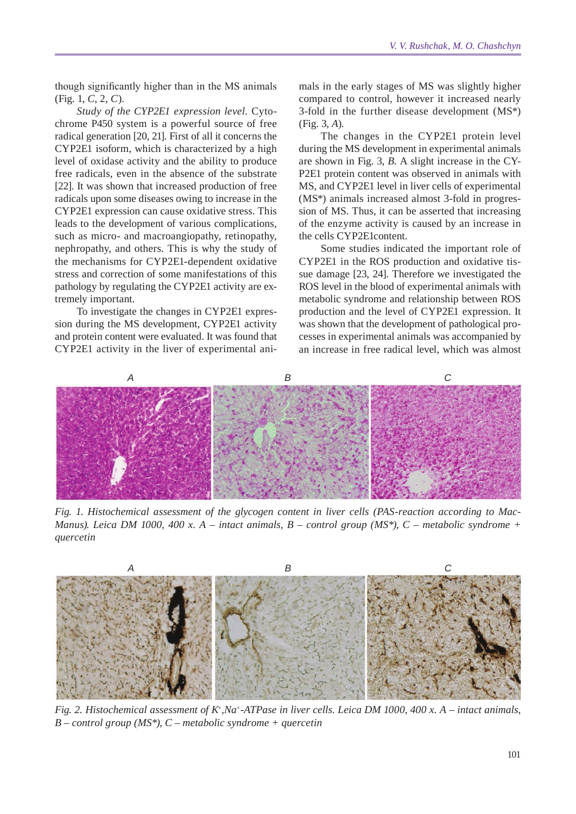though significantly higher than in the MS animals (Fig. 1, *C*, 2, *C*).

*Study of the CYP2E1 expression level.* Cytochrome P450 system is a powerful source of free radical generation [20, 21]. First of all it concerns the CYP2E1 isoform, which is characterized by a high level of oxidase activity and the ability to produce free radicals, even in the absence of the substrate [22]. It was shown that increased production of free radicals upon some diseases owing to increase in the CYP2E1 expression can cause oxidative stress. This leads to the development of various complications, such as micro- and macroangiopathy, retinopathy, nephropathy, and others. This is why the study of the mechanisms for CYP2E1-dependent oxidative stress and correction of some manifestations of this pathology by regulating the CYP2E1 activity are extremely important.

To investigate the changes in CYP2E1 expression during the MS development, CYP2E1 activity and protein content were evaluated. It was found that CYP2E1 activity in the liver of experimental ani-

mals in the early stages of MS was slightly higher compared to control, however it increased nearly 3-fold in the further disease development (MS\*) (Fig. 3, *A*).

The changes in the CYP2E1 protein level during the MS development in experimental animals are shown in Fig. 3, *B*. A slight increase in the CY-P2E1 protein content was observed in animals with MS, and CYP2E1 level in liver cells of experimental (MS\*) animals increased almost 3-fold in progression of MS. Thus, it can be asserted that increasing of the enzyme activity is caused by an increase in the cells CYP2E1content.

Some studies indicated the important role of CYP2E1 in the ROS production and oxidative tissue damage [23, 24]. Therefore we investigated the ROS level in the blood of experimental animals with metabolic syndrome and relationship between ROS production and the level of CYP2E1 expression. It was shown that the development of pathological processes in experimental animals was accompanied by an increase in free radical level, which was almost



*Fig. 1. Histochemical assessment of the glycogen content in liver cells (PAS-reaction according to Mac-Manus). Leica DM 1000, 400 x. A – intact animals, B – control group (MS\*), C – metabolic syndrome + quercetin*



*Fig. 2. Histochemical assessment of K+,Na+-ATPase in liver cells. Leica DM 1000, 400 x. A – intact animals, B – control group (MS\*), C – metabolic syndrome + quercetin*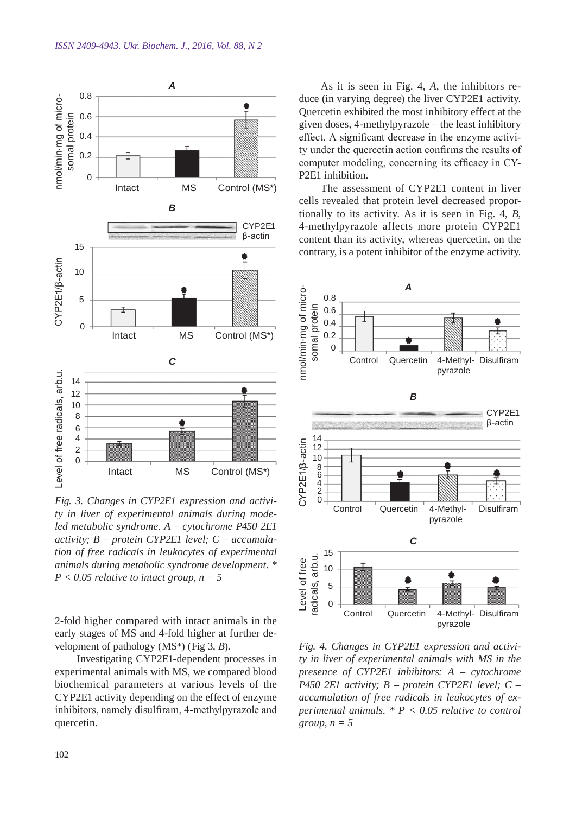

*Fig. 3. Changes in CY P2E1 expression and activity in liver of experimental animals during modeled metabolic syndrome. A – cytochrome P450 2E1*  activity; *B – protein CYP2E1 level*; *C – accumulation of free radicals in leukocytes of experimental animals during metabolic syndrome development. \**   $P < 0.05$  relative to intact group,  $n = 5$ 

2-fold higher compared with intact animals in the early stages of MS and 4-fold higher at further development of pathology (MS\*) (Fig 3, *B*).

Investigating CYP2E1-dependent processes in experimental animals with MS, we compared blood biochemical parameters at various levels of the CYP2E1 activity depending on the effect of enzyme inhibitors, namely disulfiram, 4-methylpyrazole and quercetin.

As it is seen in Fig. 4, *A*, the inhibitors reduce (in varying degree) the liver CYP2E1 activity. Quercetin exhibited the most inhibitory effect at the given doses, 4-methylpyrazole – the least inhibitory effect. A significant decrease in the enzyme activity under the quercetin action confirms the results of computer modeling, concerning its efficacy in CY-P2E1 inhibition.

The assessment of CYP2E1 content in liver cells revealed that protein level decreased proportionally to its activity. As it is seen in Fig. 4, *B*, 4-methylpyrazole affects more protein CYP2E1 content than its activity, whereas quercetin, on the contrary, is a potent inhibitor of the enzyme activity.



*Fig. 4. Changes in CYP2E1 expression and activity in liver of experimental animals with MS in the presence of CYP2E1 inhibitors: A – cytochrome P450 2E1 activity; B – protein CYP2E1 level; C – accumulation of free radicals in leukocytes of experimental animals. \* P < 0.05 relative to control group, n = 5*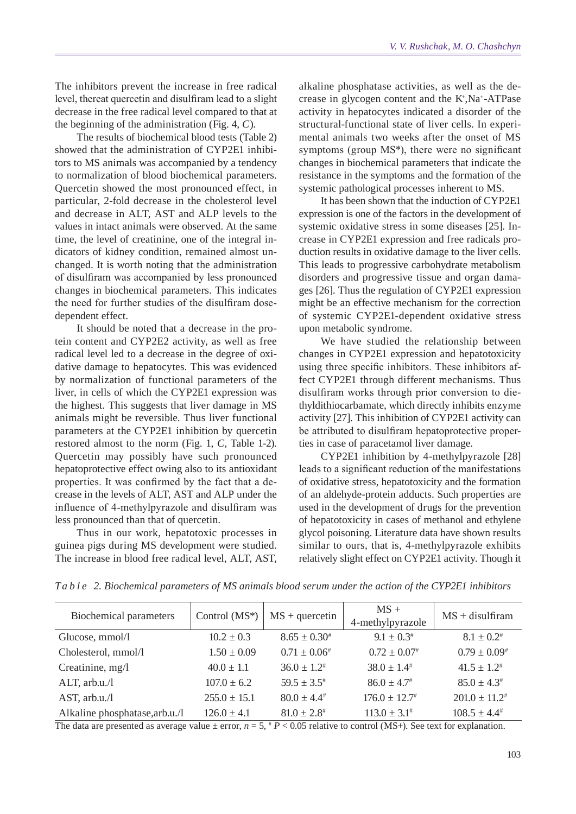The inhibitors prevent the increase in free radical level, thereat quercetin and disulfiram lead to a slight decrease in the free radical level compared to that at the beginning of the administration (Fig. 4, *C*).

The results of biochemical blood tests (Table 2) showed that the administration of CYP2E1 inhibitors to MS animals was accompanied by a tendency to normalization of blood biochemical parameters. Quercetin showed the most pronounced effect, in particular, 2-fold decrease in the cholesterol level and decrease in ALT, AST and ALP levels to the values in intact animals were observed. At the same time, the level of creatinine, one of the integral indicators of kidney condition, remained almost unchanged. It is worth noting that the administration of disulfiram was accompanied by less pronounced changes in biochemical parameters. This indicates the need for further studies of the disulfiram dosedependent effect.

It should be noted that a decrease in the protein content and CYP2E2 activity, as well as free radical level led to a decrease in the degree of oxidative damage to hepatocytes. This was evidenced by normalization of functional parameters of the liver, in cells of which the CYP2E1 expression was the highest. This suggests that liver damage in MS animals might be reversible. Thus liver functional parameters at the CYP2E1 inhibition by quercetin restored almost to the norm (Fig. 1, *C*, Table 1-2). Quercetin may possibly have such pronounced hepatoprotective effect owing also to its antioxidant properties. It was confirmed by the fact that a decrease in the levels of ALT, AST and ALP under the influence of 4-methylpyrazole and disulfiram was less pronounced than that of quercetin.

Thus in our work, hepatotoxic processes in guinea pigs during MS development were studied. The increase in blood free radical level, ALT, AST,

alkaline phosphatase activities, as well as the decrease in glycogen content and the K+ ,Na+-ATPase activity in hepatocytes indicated a disorder of the structural-functional state of liver cells. In experimental animals two weeks after the onset of MS symptoms (group MS\*), there were no significant changes in biochemical parameters that indicate the resistance in the symptoms and the formation of the systemic pathological processes inherent to MS.

It has been shown that the induction of CYP2E1 expression is one of the factors in the development of systemic oxidative stress in some diseases [25]. Increase in CYP2E1 expression and free radicals production results in oxidative damage to the liver cells. This leads to progressive carbohydrate metabolism disorders and progressive tissue and organ damages [26]. Thus the regulation of CYP2E1 expression might be an effective mechanism for the correction of systemic CYP2E1-dependent oxidative stress upon metabolic syndrome.

We have studied the relationship between changes in CYP2E1 expression and hepatotoxicity using three specific inhibitors. These inhibitors affect CYP2E1 through different mechanisms. Thus disulfiram works through prior conversion to diethyldithiocarbamate, which directly inhibits enzyme activity [27]. This inhibition of CYP2E1 activity can be attributed to disulfiram hepatoprotective properties in case of paracetamol liver damage.

CYP2E1 inhibition by 4-methylpyrazole [28] leads to a significant reduction of the manifestations of oxidative stress, hepatotoxicity and the formation of an aldehyde-protein adducts. Such properties are used in the development of drugs for the prevention of hepatotoxicity in cases of methanol and ethylene glycol poisoning. Literature data have shown results similar to ours, that is, 4-methylpyrazole exhibits relatively slight effect on CYP2E1 activity. Though it

| <b>Biochemical parameters</b>  | Control $(MS^*)$ | $MS +$ quercetin    | $MS +$<br>4-methylpyrazole | $MS + disulfiram$        |
|--------------------------------|------------------|---------------------|----------------------------|--------------------------|
| Glucose, mmol/l                | $10.2 \pm 0.3$   | $8.65 \pm 0.30^*$   | $9.1 \pm 0.3^*$            | $8.1 + 0.2$ <sup>#</sup> |
| Cholesterol, mmol/l            | $1.50 \pm 0.09$  | $0.71 \pm 0.06^*$   | $0.72 \pm 0.07$            | $0.79 \pm 0.09^*$        |
| Creatinine, mg/l               | $40.0 \pm 1.1$   | $36.0 \pm 1.2^*$    | $38.0 \pm 1.4^{\#}$        | $41.5 \pm 1.2^*$         |
| ALT, arb.u./l                  | $107.0 \pm 6.2$  | $59.5 \pm 3.5^*$    | $86.0 \pm 4.7^*$           | $85.0 \pm 4.3^*$         |
| AST, arb.u./l                  | $255.0 \pm 15.1$ | $80.0 \pm 4.4^{\#}$ | $176.0 \pm 12.7^{\#}$      | $201.0 \pm 11.2^*$       |
| Alkaline phosphatase, arb.u./l | $126.0 \pm 4.1$  | $81.0 \pm 2.8^{\#}$ | $113.0 \pm 3.1^*$          | $108.5 \pm 4.4^{\#}$     |

*T a b l e 2. Biochemical parameters of MS animals blood serum under the action of the CYP2E1 inhibitors*

The data are presented as average value  $\pm$  error,  $n = 5$ ,  $p \lt 0.05$  relative to control (MS+). See text for explanation.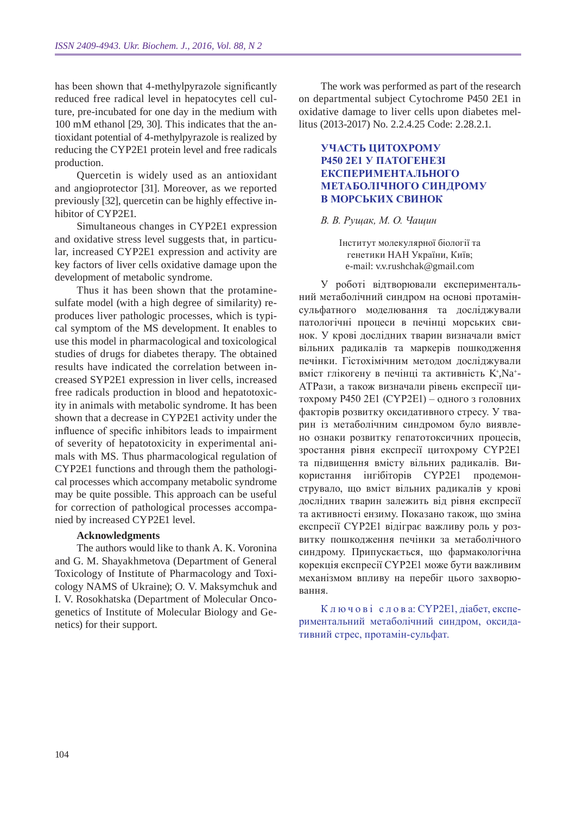has been shown that 4-methylpyrazole significantly reduced free radical level in hepatocytes cell culture, pre-incubated for one day in the medium with 100 mM ethanol [29, 30]. This indicates that the antioxidant potential of 4-methylpyrazole is realized by reducing the CYP2E1 protein level and free radicals production.

Quercetin is widely used as an antioxidant and angioprotector [31]. Moreover, as we reported previously [32], quercetin can be highly effective inhibitor of CYP2E1.

Simultaneous changes in CYP2E1 expression and oxidative stress level suggests that, in particular, increased CYP2E1 expression and activity are key factors of liver cells oxidative damage upon the development of metabolic syndrome.

Thus it has been shown that the protaminesulfate model (with a high degree of similarity) reproduces liver pathologic processes, which is typical symptom of the MS development. It enables to use this model in pharmacological and toxicological studies of drugs for diabetes therapy. The obtained results have indicated the correlation between increased SYP2E1 expression in liver cells, increased free radicals production in blood and hepatotoxicity in animals with metabolic syndrome. It has been shown that a decrease in CYP2E1 activity under the influence of specific inhibitors leads to impairment of severity of hepatotoxicity in experimental animals with MS. Thus pharmacological regulation of CYP2E1 functions and through them the pathological processes which accompany metabolic syndrome may be quite possible. This approach can be useful for correction of pathological processes accompanied by increased CYP2E1 level.

## **Acknowledgments**

The authors would like to thank A. K. Voronina and G. M. Shayakhmetova (Department of General Toxicology of Institute of Pharmacology and Toxicology NAMS of Ukraine); O. V. Maksymchuk and I. V. Rosokhatska (Department of Molecular Oncogenetics of Institute of Molecular Biology and Genetics) for their support.

The work was performed as part of the research on departmental subject Cytochrome P450 2E1 in oxidative damage to liver cells upon diabetes mellitus (2013-2017) No. 2.2.4.25 Code: 2.28.2.1.

# **Участь цитохрому Р450 2Е1 у патогенезі експериментального метаболічного синдрому в морських свинок**

## *В. В. Рущак, М. О. Чащин*

Інститут молекулярної біології та генетики НАН України, Київ; e-mail: v.v.rushchak@gmail.com

У роботі відтворювали експериментальний метаболічний синдром на основі протамінсульфатного моделювання та досліджували патологічні процеси в печінці морських свинок. У крові дослідних тварин визначали вміст вільних радикалів та маркерів пошкодження печінки. Гістохімічним методом досліджували вміст глікогену в печінці та активність K+,Na+-АТРази, а також визначали рівень експресії цитохрому Р450 2Е1 (CYP2E1) – одного з головних факторів розвитку оксидативного стресу. У тварин із метаболічним синдромом було виявлено ознаки розвитку гепатотоксичних процесів, зростання рівня експресії цитохрому CYP2Е1 та підвищення вмісту вільних радикалів. Використання інгібіторів CYP2E1 продемонструвало, що вміст вільних радикалів у крові дослідних тварин залежить від рівня експресії та активності ензиму. Показано також, що зміна експресії CYP2E1 відіграє важливу роль у розвитку пошкодження печінки за метаболічного синдрому. Припускається, що фармакологічна корекція експресії CYP2E1 може бути важливим механізмом впливу на перебіг цього захворювання.

К л ю ч о в і с л о в а: CYP2E1, діабет, експериментальний метаболічний синдром, оксидативний стрес, протамін-сульфат.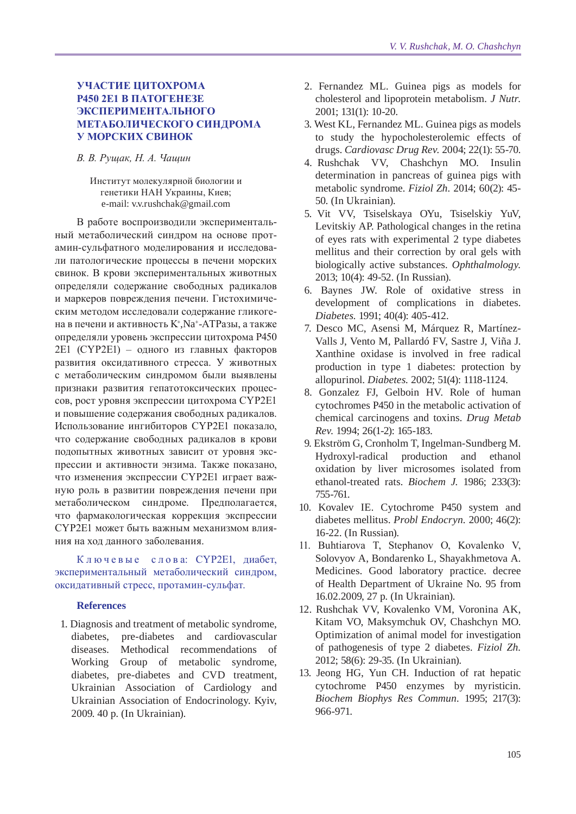## **Участие цитохрома Р450 2Е1 в патогенезе экспериментального метаболического синдрома у морских свинок**

#### *В. В. Рущак, Н. А. Чащин*

Институт молекулярной биологии и генетики НАН Украины, Киев; e-mail: v.v.rushchak@gmail.com

В работе воспроизводили экспериментальный метаболический синдром на основе протамин-сульфатного моделирования и исследовали патологические процессы в печени морских свинок. В крови экспериментальных животных определяли содержание свободных радикалов и маркеров повреждения печени. Гистохимическим методом исследовали содержание гликогена в печени и активность K<sup>+</sup> ,Na+-АТРазы, а также определяли уровень экспрессии цитохрома Р450 2Е1 (CYP2E1) – одного из главных факторов развития оксидативного стресса. У животных с метаболическим синдромом были выявлены признаки развития гепатотоксических процессов, рост уровня экспрессии цитохрома CYP2Е1 и повышение содержания свободных радикалов. Использование ингибиторов CYP2E1 показало, что содержание свободных радикалов в крови подопытных животных зависит от уровня экспрессии и активности энзима. Также показано, что изменения экспрессии CYP2E1 играет важную роль в развитии повреждения печени при метаболическом синдроме. Предполагается, что фармакологическая коррекция экспрессии CYP2E1 может быть важным механизмом влияния на ход данного заболевания.

К л ю ч е в ы е с л о в а: CYP2E1, диабет, экспериментальный метаболический синдром, оксидативный стресс, протамин-сульфат.

#### **References**

1. Diagnosis and treatment of metabolic syndrome, diabetes, pre-diabetes and cardiovascular diseases. Methodical recommendations of Working Group of metabolic syndrome, diabetes, pre-diabetes and CVD treatment, Ukrainian Association of Cardiology and Ukrainian Association of Endocrinology. Kyiv, 2009. 40 p. (In Ukrainian).

- 2. Fernandez ML. Guinea pigs as models for cholesterol and lipoprotein metabolism. *J Nutr.*  2001; 131(1): 10-20.
- 3. West KL, Fernandez ML. Guinea pigs as models to study the hypocholesterolemic effects of drugs. *Cardiovasc Drug Rev.* 2004; 22(1): 55-70.
- 4. Rushchak VV, Chashchyn MO. Insulin determination in pancreas of guinea pigs with metabolic syndrome. *Fiziol Zh.* 2014; 60(2): 45-50. (In Ukrainian).
- 5. Vit VV, Tsiselskaya OYu, Tsiselskiy YuV, Levitskiy AP. Pathological changes in the retina of eyes rats with experimental 2 type diabetes mellitus and their correction by oral gels with biologically active substances. *Ophthalmology.*  2013; 10(4): 49-52. (In Russian).
- 6. Baynes JW. Role of oxidative stress in development of complications in diabetes. *Diabetes.* 1991; 40(4): 405-412.
- 7. Desco MC, Asensi M, Márquez R, Martínez-Valls J, Vento M, Pallardó FV, Sastre J, Viña J. Xanthine oxidase is involved in free radical production in type 1 diabetes: protection by allopurinol. *Diabetes.* 2002; 51(4): 1118-1124.
- 8. Gonzalez FJ, Gelboin HV. Role of human cytochromes P450 in the metabolic activation of chemical carcinogens and toxins. *Drug Metab Rev.* 1994; 26(1-2): 165-183.
- 9. Ekström G, Cronholm T, Ingelman-Sundberg M. Hydroxyl-radical production and ethanol oxidation by liver microsomes isolated from ethanol-treated rats. *Biochem J.* 1986; 233(3): 755-761.
- 10. Kovalev IE. Cytochrome P450 system and diabetes mellitus. *Probl Endocryn.* 2000; 46(2): 16-22. (In Russian).
- 11. Buhtiarova T, Stephanov О, Kovalenko V, Solovyov A, Bondarenko L, Shayakhmetova A. Medicines. Good laboratory practice. decree of Health Department of Ukraine No. 95 from 16.02.2009, 27 p. (In Ukrainian).
- 12. Rushchak VV, Kovalenko VM, Voronina AK, Kitam VO, Maksymchuk OV, Chashchyn MO. Optimization of animal model for investigation of pathogenesis of type 2 diabetes. *Fiziol Zh.*  2012; 58(6): 29-35. (In Ukrainian).
- 13. Jeong HG, Yun CH. Induction of rat hepatic cytochrome P450 enzymes by myristicin. *Biochem Biophys Res Commun.* 1995; 217(3): 966-971.